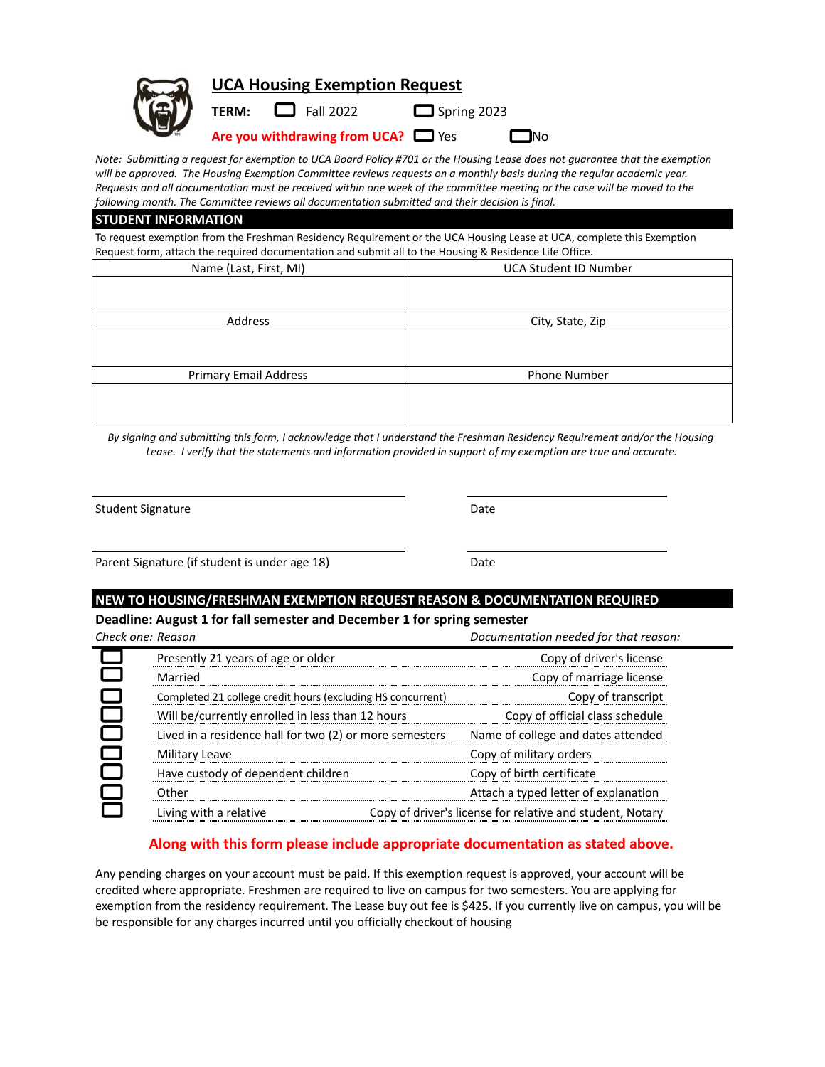| 同 | <b>UCA Housing Exemption Request</b> |                                          |                    |           |  |
|---|--------------------------------------|------------------------------------------|--------------------|-----------|--|
|   |                                      | <b>TERM:</b> $\Box$ Fall 2022            | $\Box$ Spring 2023 |           |  |
|   |                                      | Are you withdrawing from UCA? $\Box$ Yes |                    | $\Box$ No |  |

*Note: Submitting a request for exemption to UCA Board Policy #701 or the Housing Lease does not guarantee that the exemption will be approved. The Housing Exemption Committee reviews requests on a monthly basis during the regular academic year. Requests and all documentation must be received within one week of the committee meeting or the case will be moved to the following month. The Committee reviews all documentation submitted and their decision is final.*

#### **STUDENT INFORMATION**

To request exemption from the Freshman Residency Requirement or the UCA Housing Lease at UCA, complete this Exemption Request form, attach the required documentation and submit all to the Housing & Residence Life Office.

| . .<br>Name (Last, First, MI) | <b>UCA Student ID Number</b> |
|-------------------------------|------------------------------|
|                               |                              |
|                               |                              |
| Address                       | City, State, Zip             |
|                               |                              |
|                               |                              |
| <b>Primary Email Address</b>  | Phone Number                 |
|                               |                              |
|                               |                              |

*By signing and submitting this form, I acknowledge that I understand the Freshman Residency Requirement and/or the Housing Lease. I verify that the statements and information provided in support of my exemption are true and accurate.*

Student Signature Date Date

Parent Signature (if student is under age 18) Date

### **NEW TO HOUSING/FRESHMAN EXEMPTION REQUEST REASON & DOCUMENTATION REQUIRED**

**Deadline: August 1 for fall semester and December 1 for spring semester**

| Check one: Reason |                                                             |                          | Documentation needed for that reason:                     |
|-------------------|-------------------------------------------------------------|--------------------------|-----------------------------------------------------------|
|                   | Presently 21 years of age or older                          |                          | Copy of driver's license                                  |
|                   | Married                                                     | Copy of marriage license |                                                           |
|                   | Completed 21 college credit hours (excluding HS concurrent) |                          | Copy of transcript                                        |
|                   | Will be/currently enrolled in less than 12 hours            |                          | Copy of official class schedule                           |
|                   | Lived in a residence hall for two (2) or more semesters     |                          | Name of college and dates attended                        |
|                   | Military Leave                                              |                          | Copy of military orders                                   |
|                   | Have custody of dependent children                          |                          | Copy of birth certificate                                 |
|                   | Other                                                       |                          | Attach a typed letter of explanation                      |
|                   | Living with a relative                                      |                          | Copy of driver's license for relative and student, Notary |

# **Along with this form please include appropriate documentation as stated above.**

Any pending charges on your account must be paid. If this exemption request is approved, your account will be credited where appropriate. Freshmen are required to live on campus for two semesters. You are applying for exemption from the residency requirement. The Lease buy out fee is \$425. If you currently live on campus, you will be be responsible for any charges incurred until you officially checkout of housing